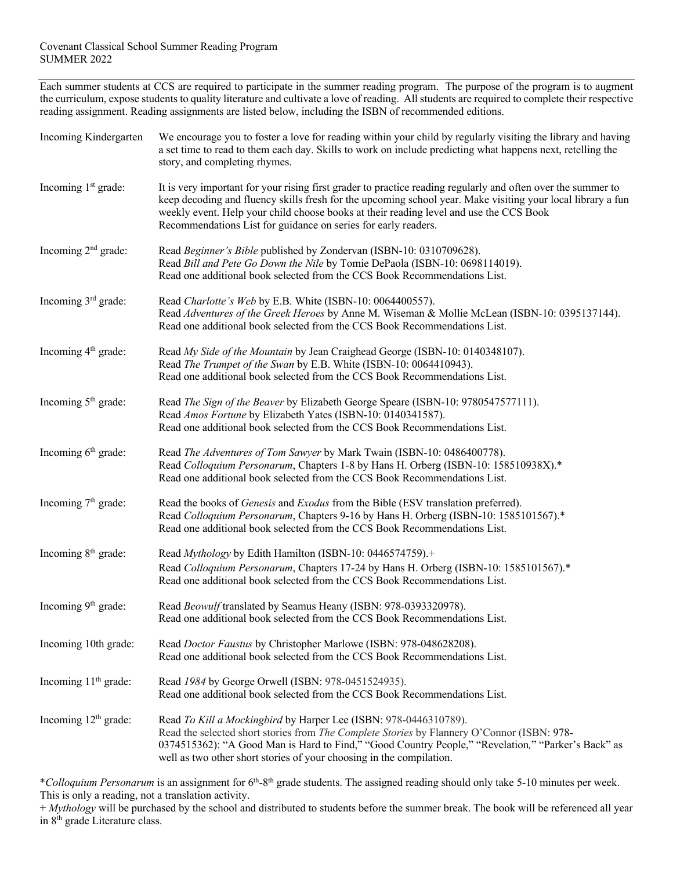### Covenant Classical School Summer Reading Program SUMMER 2022

Each summer students at CCS are required to participate in the summer reading program. The purpose of the program is to augment the curriculum, expose students to quality literature and cultivate a love of reading. All students are required to complete their respective reading assignment. Reading assignments are listed below, including the ISBN of recommended editions.

| Incoming Kindergarten            | We encourage you to foster a love for reading within your child by regularly visiting the library and having<br>a set time to read to them each day. Skills to work on include predicting what happens next, retelling the<br>story, and completing rhymes.                                                                                                                             |
|----------------------------------|-----------------------------------------------------------------------------------------------------------------------------------------------------------------------------------------------------------------------------------------------------------------------------------------------------------------------------------------------------------------------------------------|
| Incoming 1 <sup>st</sup> grade:  | It is very important for your rising first grader to practice reading regularly and often over the summer to<br>keep decoding and fluency skills fresh for the upcoming school year. Make visiting your local library a fun<br>weekly event. Help your child choose books at their reading level and use the CCS Book<br>Recommendations List for guidance on series for early readers. |
| Incoming $2nd$ grade:            | Read Beginner's Bible published by Zondervan (ISBN-10: 0310709628).<br>Read Bill and Pete Go Down the Nile by Tomie DePaola (ISBN-10: 0698114019).<br>Read one additional book selected from the CCS Book Recommendations List.                                                                                                                                                         |
| Incoming 3 <sup>rd</sup> grade:  | Read Charlotte's Web by E.B. White (ISBN-10: 0064400557).<br>Read Adventures of the Greek Heroes by Anne M. Wiseman & Mollie McLean (ISBN-10: 0395137144).<br>Read one additional book selected from the CCS Book Recommendations List.                                                                                                                                                 |
| Incoming 4 <sup>th</sup> grade:  | Read My Side of the Mountain by Jean Craighead George (ISBN-10: 0140348107).<br>Read The Trumpet of the Swan by E.B. White (ISBN-10: 0064410943).<br>Read one additional book selected from the CCS Book Recommendations List.                                                                                                                                                          |
| Incoming 5 <sup>th</sup> grade:  | Read The Sign of the Beaver by Elizabeth George Speare (ISBN-10: 9780547577111).<br>Read Amos Fortune by Elizabeth Yates (ISBN-10: 0140341587).<br>Read one additional book selected from the CCS Book Recommendations List.                                                                                                                                                            |
| Incoming 6 <sup>th</sup> grade:  | Read The Adventures of Tom Sawyer by Mark Twain (ISBN-10: 0486400778).<br>Read Colloquium Personarum, Chapters 1-8 by Hans H. Orberg (ISBN-10: 158510938X).*<br>Read one additional book selected from the CCS Book Recommendations List.                                                                                                                                               |
| Incoming 7 <sup>th</sup> grade:  | Read the books of Genesis and Exodus from the Bible (ESV translation preferred).<br>Read Colloquium Personarum, Chapters 9-16 by Hans H. Orberg (ISBN-10: 1585101567).*<br>Read one additional book selected from the CCS Book Recommendations List.                                                                                                                                    |
| Incoming 8 <sup>th</sup> grade:  | Read Mythology by Edith Hamilton (ISBN-10: 0446574759).+<br>Read Colloquium Personarum, Chapters 17-24 by Hans H. Orberg (ISBN-10: 1585101567).*<br>Read one additional book selected from the CCS Book Recommendations List.                                                                                                                                                           |
| Incoming 9 <sup>th</sup> grade:  | Read Beowulf translated by Seamus Heany (ISBN: 978-0393320978).<br>Read one additional book selected from the CCS Book Recommendations List.                                                                                                                                                                                                                                            |
| Incoming 10th grade:             | Read Doctor Faustus by Christopher Marlowe (ISBN: 978-048628208).<br>Read one additional book selected from the CCS Book Recommendations List.                                                                                                                                                                                                                                          |
| Incoming 11 <sup>th</sup> grade: | Read 1984 by George Orwell (ISBN: 978-0451524935).<br>Read one additional book selected from the CCS Book Recommendations List.                                                                                                                                                                                                                                                         |
| Incoming 12 <sup>th</sup> grade: | Read To Kill a Mockingbird by Harper Lee (ISBN: 978-0446310789).<br>Read the selected short stories from The Complete Stories by Flannery O'Connor (ISBN: 978-<br>0374515362): "A Good Man is Hard to Find," "Good Country People," "Revelation," "Parker's Back" as<br>well as two other short stories of your choosing in the compilation.                                            |

\**Colloquium Personarum* is an assignment for 6th-8th grade students. The assigned reading should only take 5-10 minutes per week. This is only a reading, not a translation activity.

+ *Mythology* will be purchased by the school and distributed to students before the summer break. The book will be referenced all year in 8<sup>th</sup> grade Literature class.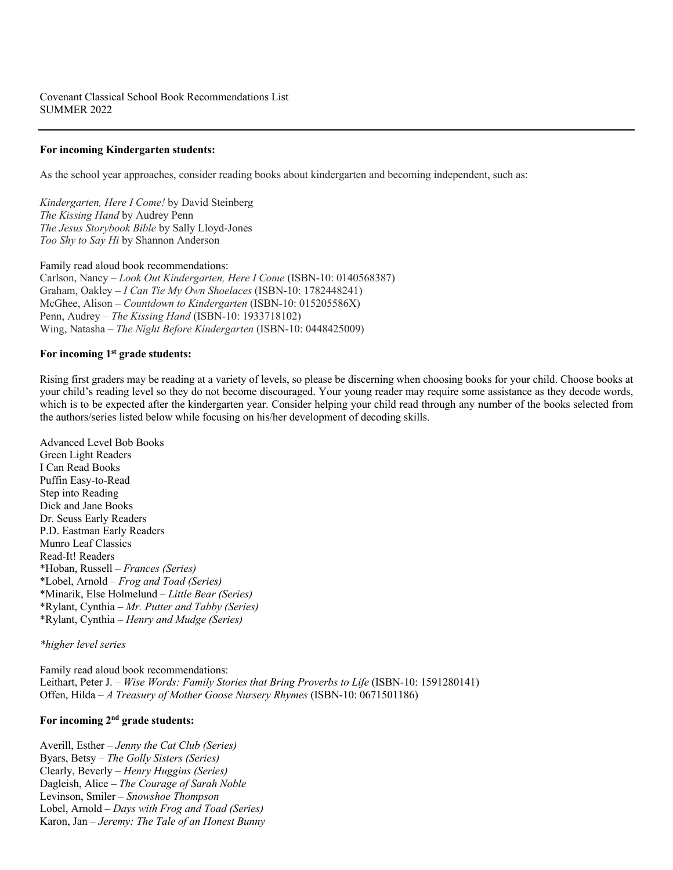### **For incoming Kindergarten students:**

As the school year approaches, consider reading books about kindergarten and becoming independent, such as:

*Kindergarten, Here I Come!* by David Steinberg *The Kissing Hand* by Audrey Penn *The Jesus Storybook Bible* by Sally Lloyd-Jones *Too Shy to Say Hi* by Shannon Anderson

Family read aloud book recommendations: Carlson, Nancy – *Look Out Kindergarten, Here I Come* (ISBN-10: 0140568387) Graham, Oakley – *I Can Tie My Own Shoelaces* (ISBN-10: 1782448241) McGhee, Alison – *Countdown to Kindergarten* (ISBN-10: 015205586X) Penn, Audrey – *The Kissing Hand* (ISBN-10: 1933718102) Wing, Natasha – *The Night Before Kindergarten* (ISBN-10: 0448425009)

#### **For incoming 1st grade students:**

Rising first graders may be reading at a variety of levels, so please be discerning when choosing books for your child. Choose books at your child's reading level so they do not become discouraged. Your young reader may require some assistance as they decode words, which is to be expected after the kindergarten year. Consider helping your child read through any number of the books selected from the authors/series listed below while focusing on his/her development of decoding skills.

Advanced Level Bob Books Green Light Readers I Can Read Books Puffin Easy-to-Read Step into Reading Dick and Jane Books Dr. Seuss Early Readers P.D. Eastman Early Readers Munro Leaf Classics Read-It! Readers \*Hoban, Russell – *Frances (Series)* \*Lobel, Arnold – *Frog and Toad (Series)* \*Minarik, Else Holmelund – *Little Bear (Series)* \*Rylant, Cynthia – *Mr. Putter and Tabby (Series)* \*Rylant, Cynthia – *Henry and Mudge (Series)*

#### *\*higher level series*

Family read aloud book recommendations: Leithart, Peter J. – *Wise Words: Family Stories that Bring Proverbs to Life* (ISBN-10: 1591280141) Offen, Hilda – *A Treasury of Mother Goose Nursery Rhymes* (ISBN-10: 0671501186)

## **For incoming 2nd grade students:**

Averill, Esther – *Jenny the Cat Club (Series)* Byars, Betsy – *The Golly Sisters (Series)* Clearly, Beverly – *Henry Huggins (Series)* Dagleish, Alice – *The Courage of Sarah Noble* Levinson, Smiler – *Snowshoe Thompson* Lobel, Arnold – *Days with Frog and Toad (Series)* Karon, Jan – *Jeremy: The Tale of an Honest Bunny*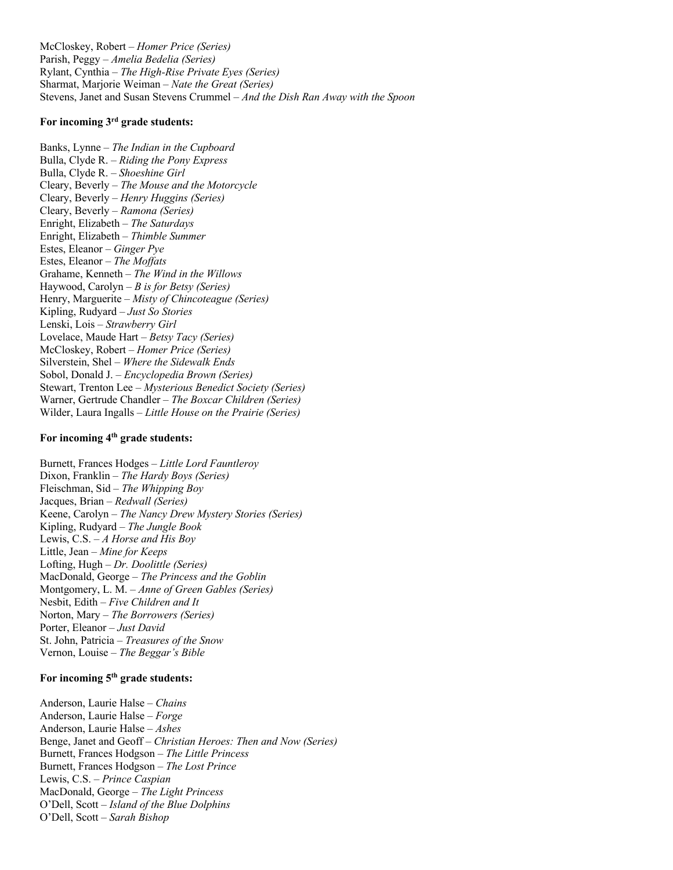McCloskey, Robert – *Homer Price (Series)* Parish, Peggy – *Amelia Bedelia (Series)* Rylant, Cynthia – *The High-Rise Private Eyes (Series)* Sharmat, Marjorie Weiman – *Nate the Great (Series)* Stevens, Janet and Susan Stevens Crummel – *And the Dish Ran Away with the Spoon*

## **For incoming 3rd grade students:**

Banks, Lynne – *The Indian in the Cupboard* Bulla, Clyde R. – *Riding the Pony Express* Bulla, Clyde R. – *Shoeshine Girl* Cleary, Beverly – *The Mouse and the Motorcycle* Cleary, Beverly – *Henry Huggins (Series)* Cleary, Beverly – *Ramona (Series)* Enright, Elizabeth – *The Saturdays* Enright, Elizabeth – *Thimble Summer* Estes, Eleanor – *Ginger Pye* Estes, Eleanor – *The Moffats* Grahame, Kenneth – *The Wind in the Willows* Haywood, Carolyn – *B is for Betsy (Series)* Henry, Marguerite – *Misty of Chincoteague (Series)* Kipling, Rudyard – *Just So Stories* Lenski, Lois – *Strawberry Girl* Lovelace, Maude Hart – *Betsy Tacy (Series)* McCloskey, Robert – *Homer Price (Series)* Silverstein, Shel – *Where the Sidewalk Ends* Sobol, Donald J. – *Encyclopedia Brown (Series)* Stewart, Trenton Lee – *Mysterious Benedict Society (Series)* Warner, Gertrude Chandler – *The Boxcar Children (Series)* Wilder, Laura Ingalls – *Little House on the Prairie (Series)*

# **For incoming 4th grade students:**

Burnett, Frances Hodges – *Little Lord Fauntleroy* Dixon, Franklin – *The Hardy Boys (Series)* Fleischman, Sid – *The Whipping Boy* Jacques, Brian – *Redwall (Series)* Keene, Carolyn – *The Nancy Drew Mystery Stories (Series)* Kipling, Rudyard – *The Jungle Book* Lewis, C.S. – *A Horse and His Boy* Little, Jean – *Mine for Keeps* Lofting, Hugh – *Dr. Doolittle (Series)* MacDonald, George – *The Princess and the Goblin* Montgomery, L. M. – *Anne of Green Gables (Series)* Nesbit, Edith – *Five Children and It* Norton, Mary – *The Borrowers (Series)* Porter, Eleanor – *Just David* St. John, Patricia – *Treasures of the Snow* Vernon, Louise – *The Beggar's Bible*

## **For incoming 5th grade students:**

Anderson, Laurie Halse – *Chains* Anderson, Laurie Halse – *Forge* Anderson, Laurie Halse – *Ashes* Benge, Janet and Geoff – *Christian Heroes: Then and Now (Series)* Burnett, Frances Hodgson – *The Little Princess* Burnett, Frances Hodgson – *The Lost Prince* Lewis, C.S. – *Prince Caspian* MacDonald, George – *The Light Princess* O'Dell, Scott – *Island of the Blue Dolphins* O'Dell, Scott – *Sarah Bishop*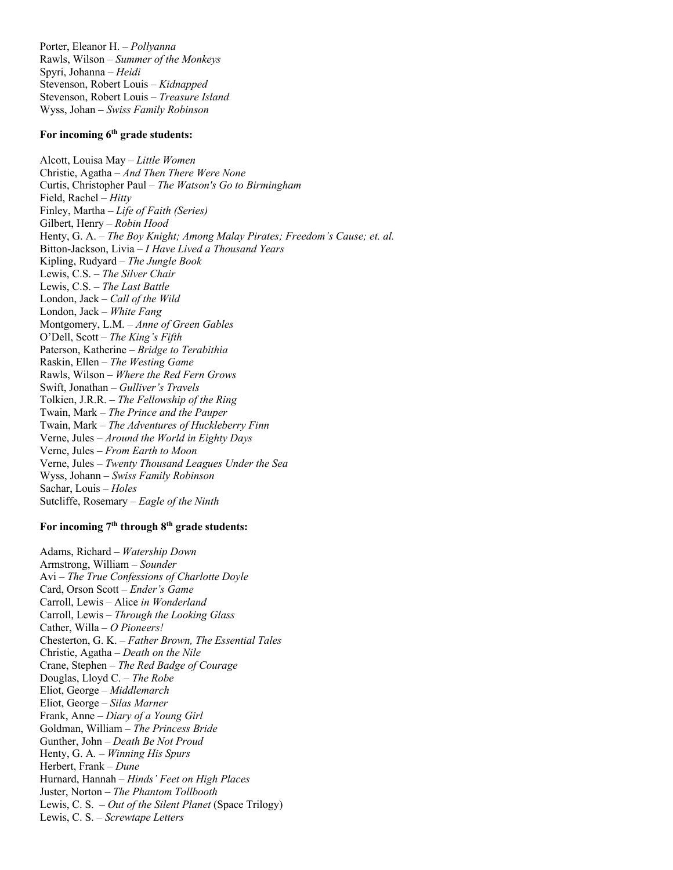Porter, Eleanor H. – *Pollyanna* Rawls, Wilson – *Summer of the Monkeys* Spyri, Johanna – *Heidi* Stevenson, Robert Louis – *Kidnapped* Stevenson, Robert Louis – *Treasure Island* Wyss, Johan – *Swiss Family Robinson*

## **For incoming 6th grade students:**

Alcott, Louisa May – *Little Women* Christie, Agatha – *And Then There Were None* Curtis, Christopher Paul – *The Watson's Go to Birmingham* Field, Rachel – *Hitty* Finley, Martha – *Life of Faith (Series)* Gilbert, Henry – *Robin Hood* Henty, G. A. – *The Boy Knight; Among Malay Pirates; Freedom's Cause; et. al.* Bitton-Jackson, Livia – *I Have Lived a Thousand Years* Kipling, Rudyard – *The Jungle Book* Lewis, C.S. – *The Silver Chair* Lewis, C.S. – *The Last Battle* London, Jack – *Call of the Wild* London, Jack – *White Fang* Montgomery, L.M. – *Anne of Green Gables* O'Dell, Scott – *The King's Fifth* Paterson, Katherine – *Bridge to Terabithia* Raskin, Ellen – *The Westing Game* Rawls, Wilson – *Where the Red Fern Grows* Swift, Jonathan – *Gulliver's Travels* Tolkien, J.R.R. – *The Fellowship of the Ring* Twain, Mark – *The Prince and the Pauper* Twain, Mark – *The Adventures of Huckleberry Finn* Verne, Jules – *Around the World in Eighty Days* Verne, Jules – *From Earth to Moon* Verne, Jules – *Twenty Thousand Leagues Under the Sea* Wyss, Johann – *Swiss Family Robinson* Sachar, Louis – *Holes*  Sutcliffe, Rosemary – *Eagle of the Ninth*

# **For incoming 7th through 8th grade students:**

Adams, Richard – *Watership Down* Armstrong, William – *Sounder* Avi – *The True Confessions of Charlotte Doyle* Card, Orson Scott – *Ender's Game* Carroll, Lewis – Alice *in Wonderland* Carroll, Lewis – *Through the Looking Glass* Cather, Willa *– O Pioneers!* Chesterton, G. K. – *Father Brown, The Essential Tales* Christie, Agatha – *Death on the Nile* Crane, Stephen – *The Red Badge of Courage* Douglas, Lloyd C. – *The Robe* Eliot, George – *Middlemarch*  Eliot, George *– Silas Marner* Frank, Anne – *Diary of a Young Girl* Goldman, William – *The Princess Bride* Gunther, John – *Death Be Not Proud* Henty, G. A*. – Winning His Spurs* Herbert, Frank – *Dune* Hurnard, Hannah – *Hinds' Feet on High Places* Juster, Norton – *The Phantom Tollbooth* Lewis, C. S. – *Out of the Silent Planet* (Space Trilogy) Lewis, C. S. – *Screwtape Letters*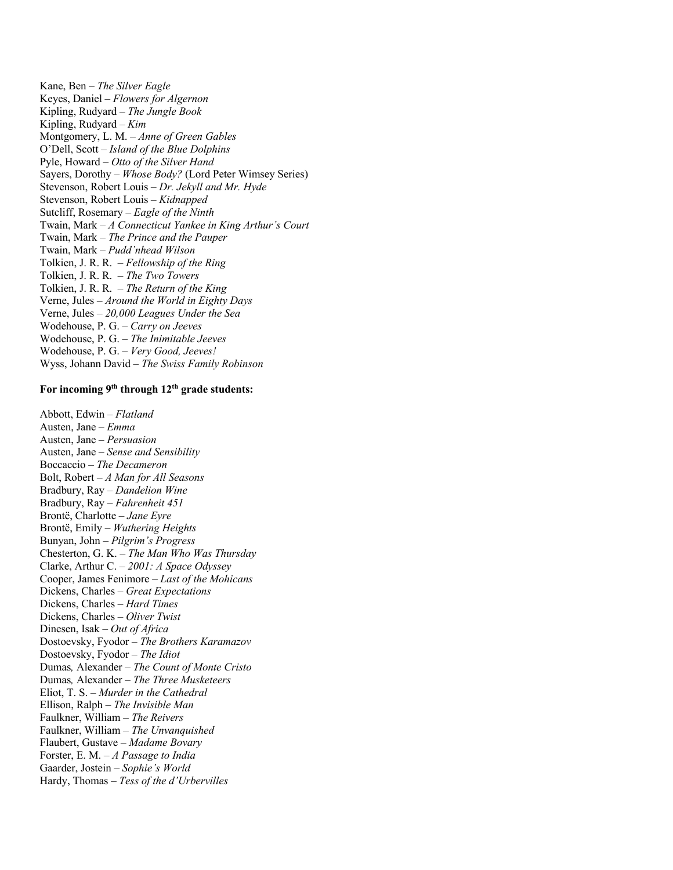Kane, Ben – *The Silver Eagle*  Keyes, Daniel – *Flowers for Algernon* Kipling, Rudyard – *The Jungle Book* Kipling, Rudyard – *Kim* Montgomery, L. M. – *Anne of Green Gables* O'Dell, Scott – *Island of the Blue Dolphins* Pyle, Howard – *Otto of the Silver Hand* Sayers, Dorothy – *Whose Body?* (Lord Peter Wimsey Series) Stevenson, Robert Louis – *Dr. Jekyll and Mr. Hyde* Stevenson, Robert Louis – *Kidnapped* Sutcliff, Rosemary – *Eagle of the Ninth* Twain, Mark – *A Connecticut Yankee in King Arthur's Court* Twain, Mark – *The Prince and the Pauper*  Twain, Mark – *Pudd'nhead Wilson* Tolkien, J. R. R. – *Fellowship of the Ring* Tolkien, J. R. R. – *The Two Towers* Tolkien, J. R. R. – *The Return of the King* Verne, Jules – *Around the World in Eighty Days*  Verne, Jules – *20,000 Leagues Under the Sea* Wodehouse, P. G. – *Carry on Jeeves* Wodehouse, P. G. – *The Inimitable Jeeves* Wodehouse, P. G. – *Very Good, Jeeves!* Wyss, Johann David *– The Swiss Family Robinson*

## **For incoming 9th through 12th grade students:**

Abbott, Edwin – *Flatland* Austen, Jane – *Emma* Austen, Jane – *Persuasion* Austen, Jane – *Sense and Sensibility* Boccaccio – *The Decameron* Bolt, Robert – *A Man for All Seasons* Bradbury, Ray *– Dandelion Wine* Bradbury, Ray *– Fahrenheit 451* Brontë, Charlotte – *Jane Eyre* Brontë, Emily – *Wuthering Heights* Bunyan, John – *Pilgrim's Progress* Chesterton, G. K. – *The Man Who Was Thursday* Clarke, Arthur C. – *2001: A Space Odyssey* Cooper, James Fenimore *– Last of the Mohicans* Dickens, Charles – *Great Expectations* Dickens, Charles – *Hard Times* Dickens, Charles – *Oliver Twist* Dinesen, Isak – *Out of Africa* Dostoevsky, Fyodor – *The Brothers Karamazov* Dostoevsky, Fyodor – *The Idiot* Dumas*,* Alexander – *The Count of Monte Cristo* Dumas*,* Alexander – *The Three Musketeers* Eliot, T. S. – *Murder in the Cathedral* Ellison, Ralph – *The Invisible Man* Faulkner, William – *The Reivers* Faulkner, William – *The Unvanquished* Flaubert, Gustave – *Madame Bovary* Forster, E. M. – *A Passage to India* Gaarder, Jostein – *Sophie's World* Hardy, Thomas – *Tess of the d'Urbervilles*